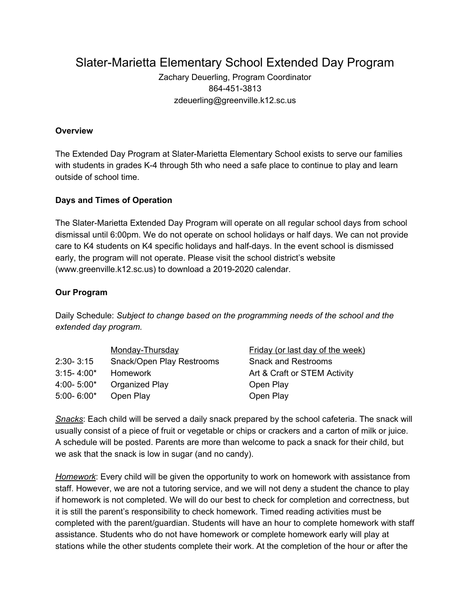Slater-Marietta Elementary School Extended Day Program

Zachary Deuerling, Program Coordinator 864-451-3813 zdeuerling@greenville.k12.sc.us

#### **Overview**

The Extended Day Program at Slater-Marietta Elementary School exists to serve our families with students in grades K-4 through 5th who need a safe place to continue to play and learn outside of school time.

### **Days and Times of Operation**

The Slater-Marietta Extended Day Program will operate on all regular school days from school dismissal until 6:00pm. We do not operate on school holidays or half days. We can not provide care to K4 students on K4 specific holidays and half-days. In the event school is dismissed early, the program will not operate. Please visit the school district's website (www.greenville.k12.sc.us) to download a 2019-2020 calendar.

#### **Our Program**

Daily Schedule: *Subject to change based on the programming needs of the school and the extended day program.*

|                | Monday-Thursday           | Friday (or last day of the week) |
|----------------|---------------------------|----------------------------------|
| $2:30 - 3:15$  | Snack/Open Play Restrooms | <b>Snack and Restrooms</b>       |
| $3:15 - 4:00*$ | Homework                  | Art & Craft or STEM Activity     |
| $4:00 - 5:00*$ | Organized Play            | Open Play                        |
| $5:00 - 6:00*$ | Open Play                 | Open Play                        |

*Snacks*: Each child will be served a daily snack prepared by the school cafeteria. The snack will usually consist of a piece of fruit or vegetable or chips or crackers and a carton of milk or juice. A schedule will be posted. Parents are more than welcome to pack a snack for their child, but we ask that the snack is low in sugar (and no candy).

*Homework*: Every child will be given the opportunity to work on homework with assistance from staff. However, we are not a tutoring service, and we will not deny a student the chance to play if homework is not completed. We will do our best to check for completion and correctness, but it is still the parent's responsibility to check homework. Timed reading activities must be completed with the parent/guardian. Students will have an hour to complete homework with staff assistance. Students who do not have homework or complete homework early will play at stations while the other students complete their work. At the completion of the hour or after the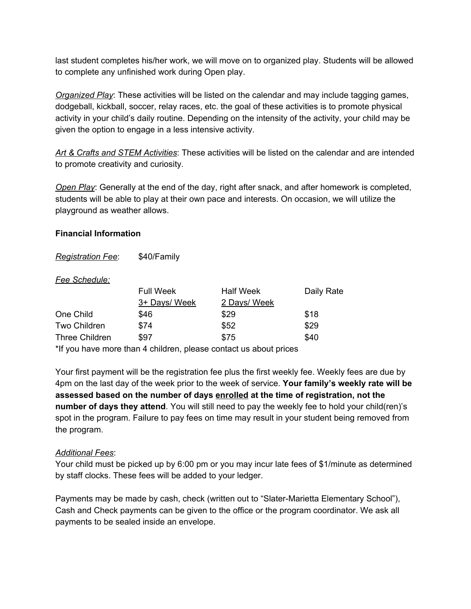last student completes his/her work, we will move on to organized play. Students will be allowed to complete any unfinished work during Open play.

*Organized Play*: These activities will be listed on the calendar and may include tagging games, dodgeball, kickball, soccer, relay races, etc. the goal of these activities is to promote physical activity in your child's daily routine. Depending on the intensity of the activity, your child may be given the option to engage in a less intensive activity.

*Art & Crafts and STEM Activities*: These activities will be listed on the calendar and are intended to promote creativity and curiosity.

*Open Play*: Generally at the end of the day, right after snack, and after homework is completed, students will be able to play at their own pace and interests. On occasion, we will utilize the playground as weather allows.

#### **Financial Information**

*Registration Fee*: \$40/Family

#### *Fee Schedule:*

|                       | <b>Full Week</b> | <b>Half Week</b> | Daily Rate |
|-----------------------|------------------|------------------|------------|
|                       | 3+ Days/ Week    | 2 Days/ Week     |            |
| One Child             | \$46             | \$29             | \$18       |
| Two Children          | \$74             | \$52             | \$29       |
| <b>Three Children</b> | \$97             | \$75             | \$40       |

\*If you have more than 4 children, please contact us about prices

Your first payment will be the registration fee plus the first weekly fee. Weekly fees are due by 4pm on the last day of the week prior to the week of service. **Your family's weekly rate will be assessed based on the number of days enrolled at the time of registration, not the number of days they attend**. You will still need to pay the weekly fee to hold your child(ren)'s spot in the program. Failure to pay fees on time may result in your student being removed from the program.

#### *Additional Fees*:

Your child must be picked up by 6:00 pm or you may incur late fees of \$1/minute as determined by staff clocks. These fees will be added to your ledger.

Payments may be made by cash, check (written out to "Slater-Marietta Elementary School"), Cash and Check payments can be given to the office or the program coordinator. We ask all payments to be sealed inside an envelope.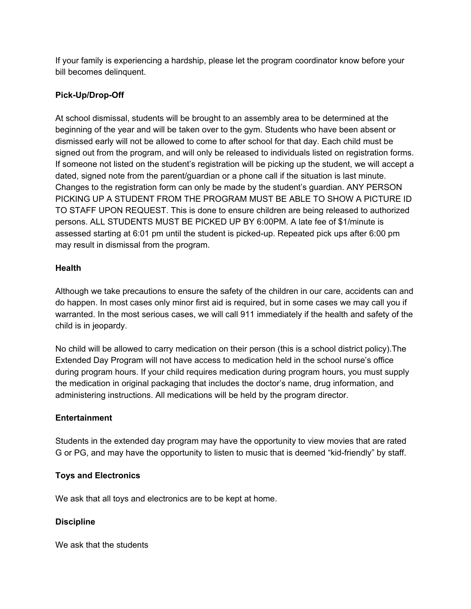If your family is experiencing a hardship, please let the program coordinator know before your bill becomes delinquent.

## **Pick-Up/Drop-Off**

At school dismissal, students will be brought to an assembly area to be determined at the beginning of the year and will be taken over to the gym. Students who have been absent or dismissed early will not be allowed to come to after school for that day. Each child must be signed out from the program, and will only be released to individuals listed on registration forms. If someone not listed on the student's registration will be picking up the student, we will accept a dated, signed note from the parent/guardian or a phone call if the situation is last minute. Changes to the registration form can only be made by the student's guardian. ANY PERSON PICKING UP A STUDENT FROM THE PROGRAM MUST BE ABLE TO SHOW A PICTURE ID TO STAFF UPON REQUEST. This is done to ensure children are being released to authorized persons. ALL STUDENTS MUST BE PICKED UP BY 6:00PM. A late fee of \$1/minute is assessed starting at 6:01 pm until the student is picked-up. Repeated pick ups after 6:00 pm may result in dismissal from the program.

### **Health**

Although we take precautions to ensure the safety of the children in our care, accidents can and do happen. In most cases only minor first aid is required, but in some cases we may call you if warranted. In the most serious cases, we will call 911 immediately if the health and safety of the child is in jeopardy.

No child will be allowed to carry medication on their person (this is a school district policy).The Extended Day Program will not have access to medication held in the school nurse's office during program hours. If your child requires medication during program hours, you must supply the medication in original packaging that includes the doctor's name, drug information, and administering instructions. All medications will be held by the program director.

### **Entertainment**

Students in the extended day program may have the opportunity to view movies that are rated G or PG, and may have the opportunity to listen to music that is deemed "kid-friendly" by staff.

### **Toys and Electronics**

We ask that all toys and electronics are to be kept at home.

### **Discipline**

We ask that the students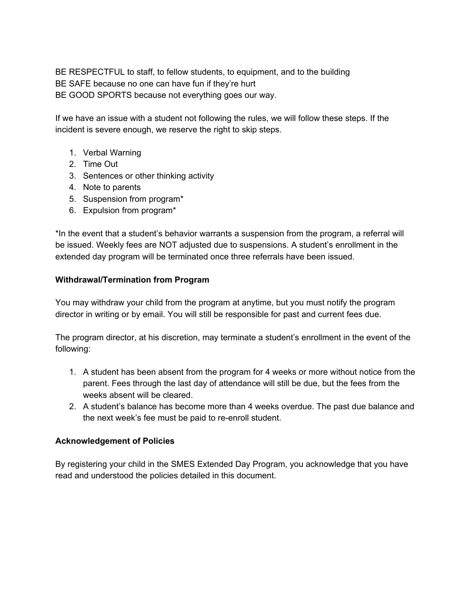BE RESPECTFUL to staff, to fellow students, to equipment, and to the building BE SAFE because no one can have fun if they're hurt BE GOOD SPORTS because not everything goes our way.

If we have an issue with a student not following the rules, we will follow these steps. If the incident is severe enough, we reserve the right to skip steps.

- 1. Verbal Warning
- 2. Time Out
- 3. Sentences or other thinking activity
- 4. Note to parents
- 5. Suspension from program\*
- 6. Expulsion from program\*

\*In the event that a student's behavior warrants a suspension from the program, a referral will be issued. Weekly fees are NOT adjusted due to suspensions. A student's enrollment in the extended day program will be terminated once three referrals have been issued.

#### **Withdrawal/Termination from Program**

You may withdraw your child from the program at anytime, but you must notify the program director in writing or by email. You will still be responsible for past and current fees due.

The program director, at his discretion, may terminate a student's enrollment in the event of the following:

- 1. A student has been absent from the program for 4 weeks or more without notice from the parent. Fees through the last day of attendance will still be due, but the fees from the weeks absent will be cleared.
- 2. A student's balance has become more than 4 weeks overdue. The past due balance and the next week's fee must be paid to re-enroll student.

### **Acknowledgement of Policies**

By registering your child in the SMES Extended Day Program, you acknowledge that you have read and understood the policies detailed in this document.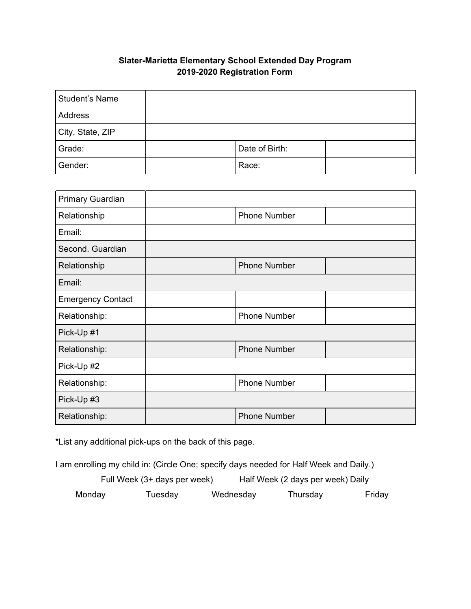# **Slater-Marietta Elementary School Extended Day Program 2019-2020 Registration Form**

| Student's Name   |                |  |
|------------------|----------------|--|
| Address          |                |  |
| City, State, ZIP |                |  |
| Grade:           | Date of Birth: |  |
| Gender:          | Race:          |  |

| Primary Guardian         |                     |  |
|--------------------------|---------------------|--|
| Relationship             | <b>Phone Number</b> |  |
| Email:                   |                     |  |
| Second. Guardian         |                     |  |
| Relationship             | <b>Phone Number</b> |  |
| Email:                   |                     |  |
| <b>Emergency Contact</b> |                     |  |
| Relationship:            | <b>Phone Number</b> |  |
| Pick-Up #1               |                     |  |
| Relationship:            | <b>Phone Number</b> |  |
| Pick-Up #2               |                     |  |
| Relationship:            | <b>Phone Number</b> |  |
| Pick-Up #3               |                     |  |
| Relationship:            | <b>Phone Number</b> |  |

\*List any additional pick-ups on the back of this page.

I am enrolling my child in: (Circle One; specify days needed for Half Week and Daily.)

| Full Week (3+ days per week) |         |  | Half Week (2 days per week) Daily |          |        |
|------------------------------|---------|--|-----------------------------------|----------|--------|
| Monday                       | Tuesday |  | Wednesday                         | Thursday | Friday |